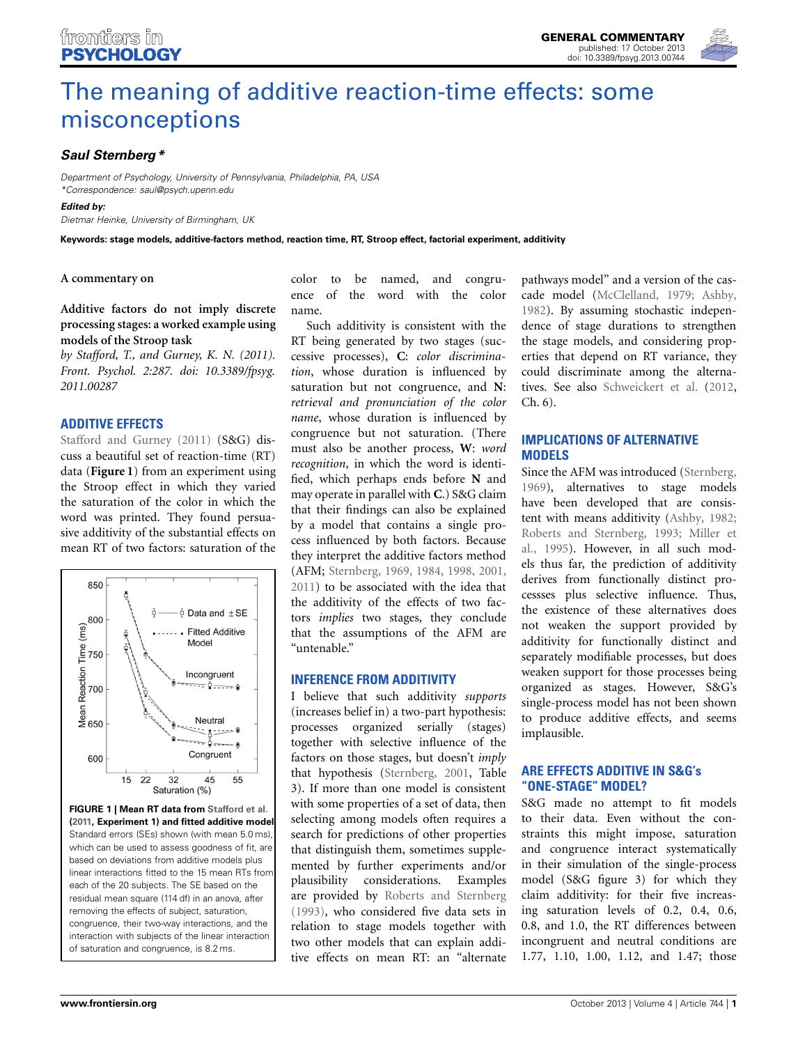

# [The meaning of additive reaction-time effects: some](http://www.frontiersin.org/journal/10.3389/fpsyg.2013.00744/full) misconceptions

# *[Saul Sternberg](http://www.frontiersin.org/Community/WhosWhoActivity.aspx?sname=SaulSternberg&UID=107601)\**

*Department of Psychology, University of Pennsylvania, Philadelphia, PA, USA \*Correspondence: saul@psych.upenn.edu*

*Edited by:*

*Dietmar Heinke, University of Birmingham, UK*

**Keywords: stage models, additive-factors method, reaction time, RT, Stroop effect, factorial experiment, additivity**

#### **A commentary on**

**[Additive factors do not imply discrete](http://www.frontiersin.org/Journal/10.3389/fpsyg.2011.00287/full) [processing stages: a worked example using](http://www.frontiersin.org/Journal/10.3389/fpsyg.2011.00287/full) [models of the Stroop task](http://www.frontiersin.org/Journal/10.3389/fpsyg.2011.00287/full)**

*by Stafford, T., and Gurney, K. N. (2011). Front. Psychol. 2:287. doi: 10.3389/fpsyg. 2011.00287*

## **[ADDITIVE](#page-1-0) [EFFECTS](#page-1-0)**

Stafford and Gurney [\(2011](#page-1-0)) (S&G) discuss a beautiful set of reaction-time (RT) data (**[Figure 1](#page-0-0)**) from an experiment using the Stroop effect in which they varied the saturation of the color in which the word was printed. They found persuasive additivity of the substantial effects on mean RT of two factors: saturation of the



<span id="page-0-0"></span>**FIGURE 1 | Mean RT data from [Stafford et al.](#page-1-1) [\(2011](#page-1-1), Experiment 1) and fitted additive model.** Standard errors (SEs) shown (with mean 5.0 ms) which can be used to assess goodness of fit, are based on deviations from additive models plus linear interactions fitted to the 15 mean RTs from each of the 20 subjects. The SE based on the residual mean square (114 df) in an anova, after removing the effects of subject, saturation, congruence, their two-way interactions, and the interaction with subjects of the linear interaction of saturation and congruence, is 8.2 ms.

color to be named, and congruence of the word with the color name.

Such additivity is consistent with the RT being generated by two stages (successive processes), **C**: *color discrimination*, whose duration is influenced by saturation but not congruence, and **N**: *retrieval and pronunciation of the color name*, whose duration is influenced by congruence but not saturation. (There must also be another process, **W**: *word recognition*, in which the word is identified, which perhaps ends before **N** and may operate in parallel with **C**.) S&G claim that their findings can also be explained by a model that contains a single process influenced by both factors. Because they interpret the additive factors method (AFM; [Sternberg](#page-1-2), [1969](#page-1-2), [1984,](#page-1-3) [1998](#page-1-4), [2001,](#page-2-0) [2011](#page-2-1)) to be associated with the idea that the additivity of the effects of two factors *implies* two stages, they conclude that the assumptions of the AFM are "untenable."

#### **INFERENCE FROM ADDITIVITY**

I believe that such additivity *supports* (increases belief in) a two-part hypothesis: processes organized serially (stages) together with selective influence of the factors on those stages, but doesn't *imply* that hypothesis [\(Sternberg, 2001,](#page-2-0) Table 3). If more than one model is consistent with some properties of a set of data, then selecting among models often requires a search for predictions of other properties that distinguish them, sometimes supplemented by further experiments and/or plausibility considerations. Examples are provided by [Roberts and Sternberg](#page-1-5) [\(1993\)](#page-1-5), who considered five data sets in relation to stage models together with two other models that can explain additive effects on mean RT: an "alternate pathways model" and a version of the cascade model [\(McClelland, 1979;](#page-1-6) [Ashby](#page-1-7), [1982](#page-1-7)). By assuming stochastic independence of stage durations to strengthen the stage models, and considering properties that depend on RT variance, they could discriminate among the alternatives. See also [Schweickert et al.](#page-1-8) [\(2012,](#page-1-8) Ch. 6).

## **IMPLICATIONS OF ALTERNATIVE MODELS**

Since the AFM was introduced [\(Sternberg](#page-1-2), [1969](#page-1-2)), alternatives to stage models have been developed that are consistent with means additivity [\(Ashby](#page-1-7), [1982;](#page-1-7) [Roberts and Sternberg, 1993;](#page-1-5) Miller et al., [1995](#page-1-9)). However, in all such models thus far, the prediction of additivity derives from functionally distinct processses plus selective influence. Thus, the existence of these alternatives does not weaken the support provided by additivity for functionally distinct and separately modifiable processes, but does weaken support for those processes being organized as stages. However, S&G's single-process model has not been shown to produce additive effects, and seems implausible.

## **ARE EFFECTS ADDITIVE IN S&G's "ONE-STAGE" MODEL?**

S&G made no attempt to fit models to their data. Even without the constraints this might impose, saturation and congruence interact systematically in their simulation of the single-process model (S&G figure 3) for which they claim additivity: for their five increasing saturation levels of 0.2, 0.4, 0.6, 0.8, and 1.0, the RT differences between incongruent and neutral conditions are 1.77, 1.10, 1.00, 1.12, and 1.47; those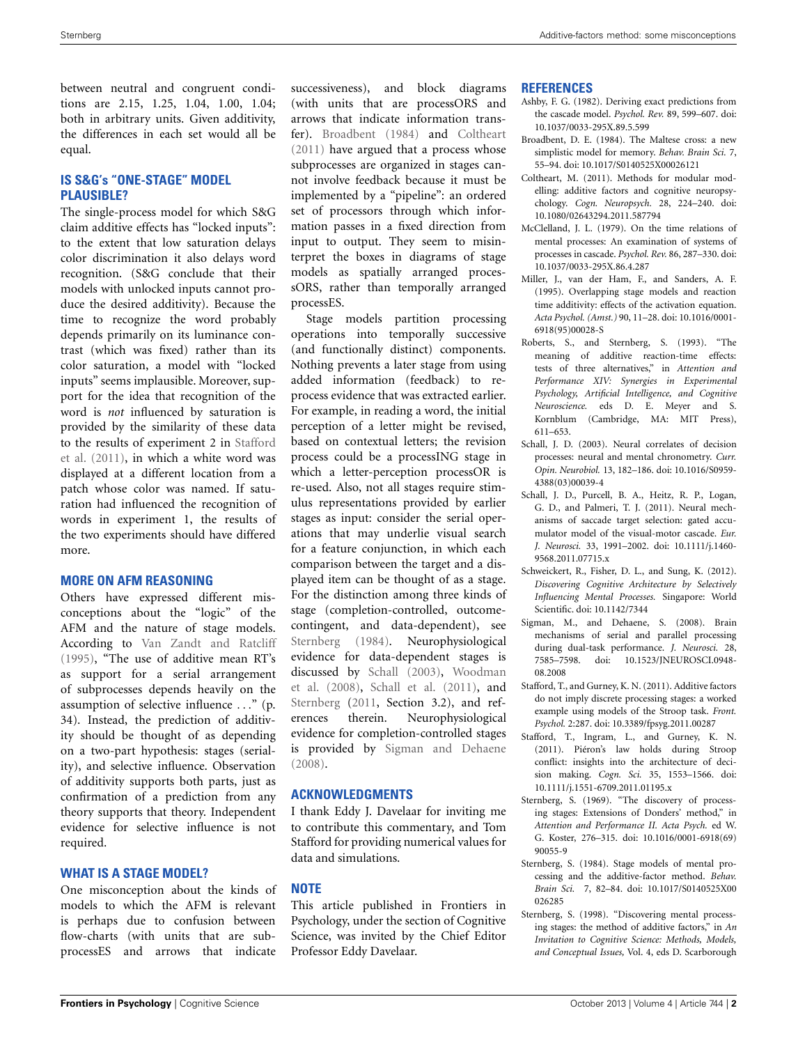between neutral and congruent conditions are 2.15, 1.25, 1.04, 1.00, 1.04; both in arbitrary units. Given additivity, the differences in each set would all be equal.

## **IS S&G's "ONE-STAGE" MODEL PLAUSIBLE?**

The single-process model for which S&G claim additive effects has "locked inputs": to the extent that low saturation delays color discrimination it also delays word recognition. (S&G conclude that their models with unlocked inputs cannot produce the desired additivity). Because the time to recognize the word probably depends primarily on its luminance contrast (which was fixed) rather than its color saturation, a model with "locked inputs" seems implausible. Moreover, support for the idea that recognition of the word is *not* influenced by saturation is provided by the similarity of these data to t[he](#page-1-1) [results](#page-1-1) [of](#page-1-1) [experiment](#page-1-1) [2](#page-1-1) [in](#page-1-1) Stafford et al. [\(2011\)](#page-1-1), in which a white word was displayed at a different location from a patch whose color was named. If saturation had influenced the recognition of words in experiment 1, the results of the two experiments should have differed more.

#### **MORE ON AFM REASONING**

Others have expressed different misconceptions about the "logic" of the AFM and the nature of stage models. According to [Van Zandt and Ratcliff](#page-2-2) [\(1995\)](#page-2-2), "The use of additive mean RT's as support for a serial arrangement of subprocesses depends heavily on the assumption of selective influence *...*" (p. 34). Instead, the prediction of additivity should be thought of as depending on a two-part hypothesis: stages (seriality), and selective influence. Observation of additivity supports both parts, just as confirmation of a prediction from any theory supports that theory. Independent evidence for selective influence is not required.

#### **WHAT IS A STAGE MODEL?**

One misconception about the kinds of models to which the AFM is relevant is perhaps due to confusion between flow-charts (with units that are subprocessES and arrows that indicate

successiveness), and block diagrams (with units that are processORS and arrows that indicate information transfer). [Broadbent](#page-1-10) [\(1984](#page-1-10)) and [Coltheart](#page-1-11) [\(2011\)](#page-1-11) have argued that a process whose subprocesses are organized in stages cannot involve feedback because it must be implemented by a "pipeline": an ordered set of processors through which information passes in a fixed direction from input to output. They seem to misinterpret the boxes in diagrams of stage models as spatially arranged processORS, rather than temporally arranged processES.

Stage models partition processing operations into temporally successive (and functionally distinct) components. Nothing prevents a later stage from using added information (feedback) to reprocess evidence that was extracted earlier. For example, in reading a word, the initial perception of a letter might be revised, based on contextual letters; the revision process could be a processING stage in which a letter-perception processOR is re-used. Also, not all stages require stimulus representations provided by earlier stages as input: consider the serial operations that may underlie visual search for a feature conjunction, in which each comparison between the target and a displayed item can be thought of as a stage. For the distinction among three kinds of stage (completion-controlled, outcomecontingent, and data-dependent), see [Sternberg](#page-1-3) [\(1984\)](#page-1-3). Neurophysiological evidence for data-dependent stages is discussed by [Schall](#page-1-12) [\(2003](#page-1-12)[\),](#page-2-3) Woodman et al. [\(2008](#page-2-3)), [Schall et al.](#page-1-13) [\(2011](#page-1-13)), and [Sternberg](#page-2-1) [\(2011,](#page-2-1) Section 3.2), and references therein. Neurophysiological evidence for completion-controlled stages is provided by [Sigman and Dehaene](#page-1-14) [\(2008\)](#page-1-14).

# **ACKNOWLEDGMENTS**

I thank Eddy J. Davelaar for inviting me to contribute this commentary, and Tom Stafford for providing numerical values for data and simulations.

#### **NOTE**

This article published in Frontiers in Psychology, under the section of Cognitive Science, was invited by the Chief Editor Professor Eddy Davelaar.

#### **REFERENCES**

- <span id="page-1-7"></span>Ashby, F. G. (1982). Deriving exact predictions from the cascade model. *Psychol. Rev.* 89, 599–607. doi: 10.1037/0033-295X.89.5.599
- <span id="page-1-10"></span>Broadbent, D. E. (1984). The Maltese cross: a new simplistic model for memory. *Behav. Brain Sci.* 7, 55–94. doi: 10.1017/S0140525X00026121
- <span id="page-1-11"></span>Coltheart, M. (2011). Methods for modular modelling: additive factors and cognitive neuropsychology. *Cogn. Neuropsych.* 28, 224–240. doi: 10.1080/02643294.2011.587794
- <span id="page-1-6"></span>McClelland, J. L. (1979). On the time relations of mental processes: An examination of systems of processes in cascade. *Psychol. Rev.* 86, 287–330. doi: 10.1037/0033-295X.86.4.287
- <span id="page-1-9"></span>Miller, J., van der Ham, F., and Sanders, A. F. (1995). Overlapping stage models and reaction time additivity: effects of the activation equation. *Acta Psychol. (Amst.)* 90, 11–28. doi: 10.1016/0001- 6918(95)00028-S
- <span id="page-1-5"></span>Roberts, S., and Sternberg, S. (1993). "The meaning of additive reaction-time effects: tests of three alternatives," in *Attention and Performance XIV: Synergies in Experimental Psychology, Artificial Intelligence, and Cognitive Neuroscience.* eds D. E. Meyer and S. Kornblum (Cambridge, MA: MIT Press), 611–653.
- <span id="page-1-12"></span>Schall, J. D. (2003). Neural correlates of decision processes: neural and mental chronometry. *Curr. Opin. Neurobiol.* 13, 182–186. doi: 10.1016/S0959- 4388(03)00039-4
- <span id="page-1-13"></span>Schall, J. D., Purcell, B. A., Heitz, R. P., Logan, G. D., and Palmeri, T. J. (2011). Neural mechanisms of saccade target selection: gated accumulator model of the visual-motor cascade. *Eur. J. Neurosci.* 33, 1991–2002. doi: 10.1111/j.1460- 9568.2011.07715.x
- <span id="page-1-8"></span>Schweickert, R., Fisher, D. L., and Sung, K. (2012). *Discovering Cognitive Architecture by Selectively Influencing Mental Processes.* Singapore: World Scientific. doi: 10.1142/7344
- <span id="page-1-14"></span>Sigman, M., and Dehaene, S. (2008). Brain mechanisms of serial and parallel processing during dual-task performance. *J. Neurosci.* 28, 7585–7598. doi: 10.1523/JNEUROSCI.0948- 08.2008
- <span id="page-1-0"></span>Stafford, T., and Gurney, K. N. (2011). Additive factors do not imply discrete processing stages: a worked example using models of the Stroop task. *Front. Psychol.* 2:287. doi: 10.3389/fpsyg.2011.00287
- <span id="page-1-1"></span>Stafford, T., Ingram, L., and Gurney, K. N. (2011). Piéron's law holds during Stroop conflict: insights into the architecture of decision making. *Cogn. Sci.* 35, 1553–1566. doi: 10.1111/j.1551-6709.2011.01195.x
- <span id="page-1-2"></span>Sternberg, S. (1969). "The discovery of processing stages: Extensions of Donders' method," in *Attention and Performance II. Acta Psych.* ed W. G. Koster, 276–315. doi: 10.1016/0001-6918(69) 90055-9
- <span id="page-1-3"></span>Sternberg, S. (1984). Stage models of mental processing and the additive-factor method. *Behav. Brain Sci.* 7, 82–84. doi: 10.1017/S0140525X00 026285
- <span id="page-1-4"></span>Sternberg, S. (1998). "Discovering mental processing stages: the method of additive factors," in *An Invitation to Cognitive Science: Methods, Models, and Conceptual Issues,* Vol. 4, eds D. Scarborough